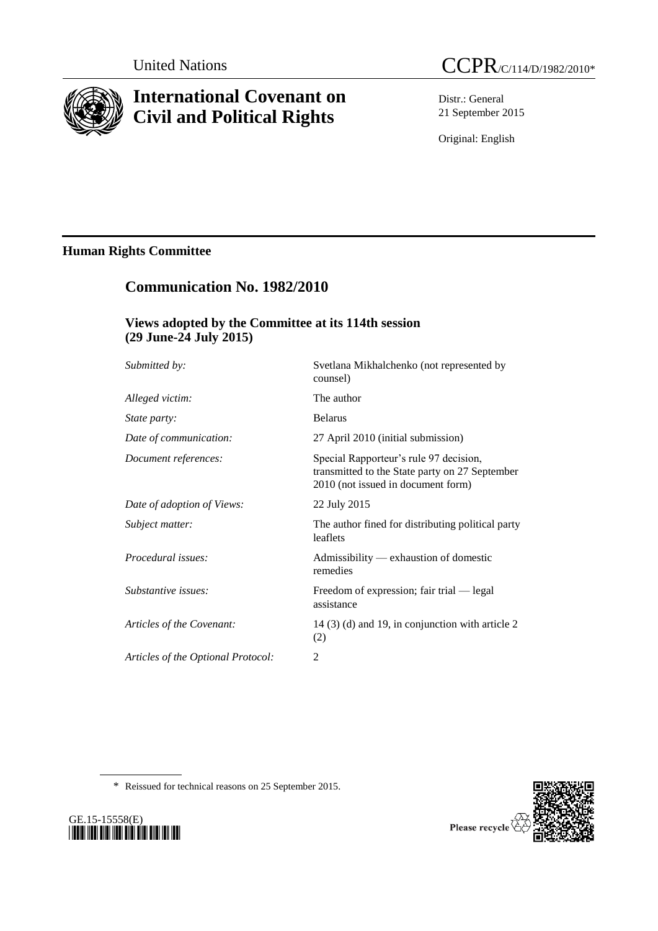

# **International Covenant on Civil and Political Rights**

Distr.: General 21 September 2015

Original: English

## **Human Rights Committee**

## **Communication No. 1982/2010**

## **Views adopted by the Committee at its 114th session (29 June-24 July 2015)**

| Submitted by:                      | Svetlana Mikhalchenko (not represented by<br>counsel)                                                                          |
|------------------------------------|--------------------------------------------------------------------------------------------------------------------------------|
| Alleged victim:                    | The author                                                                                                                     |
| <i>State party:</i>                | <b>Belarus</b>                                                                                                                 |
| Date of communication:             | 27 April 2010 (initial submission)                                                                                             |
| Document references:               | Special Rapporteur's rule 97 decision,<br>transmitted to the State party on 27 September<br>2010 (not issued in document form) |
| Date of adoption of Views:         | 22 July 2015                                                                                                                   |
| Subject matter:                    | The author fined for distributing political party<br>leaflets                                                                  |
| Procedural issues:                 | Admissibility — exhaustion of domestic<br>remedies                                                                             |
| Substantive issues:                | Freedom of expression; fair trial — legal<br>assistance                                                                        |
| Articles of the Covenant:          | 14 (3) (d) and 19, in conjunction with article 2<br>(2)                                                                        |
| Articles of the Optional Protocol: | 2                                                                                                                              |
|                                    |                                                                                                                                |

\* Reissued for technical reasons on 25 September 2015.



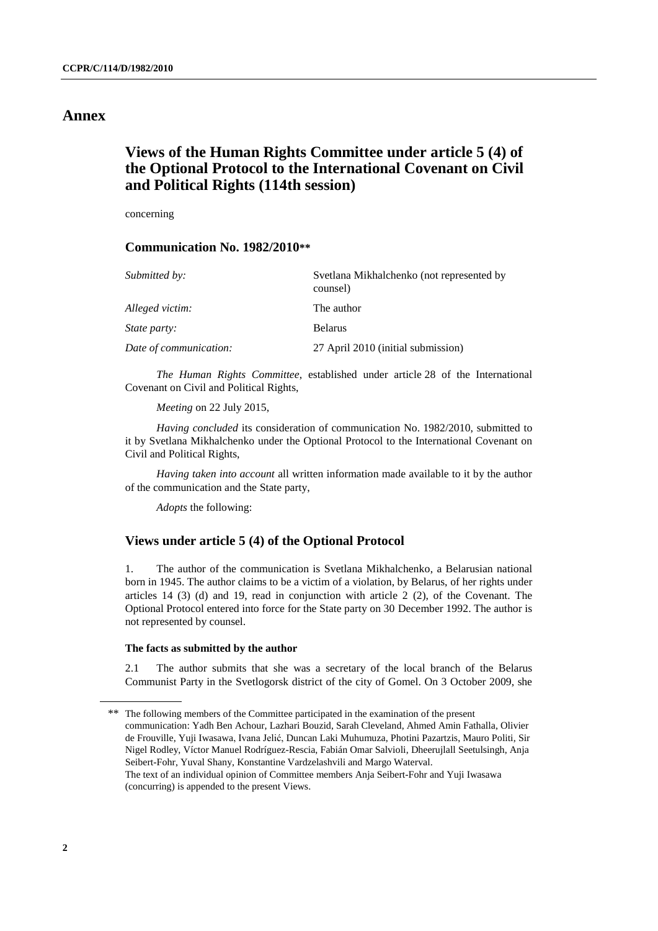## **Annex**

## **Views of the Human Rights Committee under article 5 (4) of the Optional Protocol to the International Covenant on Civil and Political Rights (114th session)**

concerning

#### **Communication No. 1982/2010\*\***

| Submitted by:          | Svetlana Mikhalchenko (not represented by<br>counsel) |
|------------------------|-------------------------------------------------------|
| Alleged victim:        | The author                                            |
| <i>State party:</i>    | <b>Belarus</b>                                        |
| Date of communication: | 27 April 2010 (initial submission)                    |

*The Human Rights Committee*, established under article 28 of the International Covenant on Civil and Political Rights,

*Meeting* on 22 July 2015,

*Having concluded* its consideration of communication No. 1982/2010, submitted to it by Svetlana Mikhalchenko under the Optional Protocol to the International Covenant on Civil and Political Rights,

*Having taken into account* all written information made available to it by the author of the communication and the State party,

*Adopts* the following:

#### **Views under article 5 (4) of the Optional Protocol**

1. The author of the communication is Svetlana Mikhalchenko, a Belarusian national born in 1945. The author claims to be a victim of a violation, by Belarus, of her rights under articles 14 (3) (d) and 19, read in conjunction with article 2 (2), of the Covenant. The Optional Protocol entered into force for the State party on 30 December 1992. The author is not represented by counsel.

#### **The facts as submitted by the author**

2.1 The author submits that she was a secretary of the local branch of the Belarus Communist Party in the Svetlogorsk district of the city of Gomel. On 3 October 2009, she

<sup>\*\*</sup> The following members of the Committee participated in the examination of the present communication: Yadh Ben Achour, Lazhari Bouzid, Sarah Cleveland, Ahmed Amin Fathalla, Olivier de Frouville, Yuji Iwasawa, Ivana Jelić, Duncan Laki Muhumuza, Photini Pazartzis, Mauro Politi, Sir Nigel Rodley, Víctor Manuel Rodríguez-Rescia, Fabián Omar Salvioli, Dheerujlall Seetulsingh, Anja Seibert-Fohr, Yuval Shany, Konstantine Vardzelashvili and Margo Waterval. The text of an individual opinion of Committee members Anja Seibert-Fohr and Yuji Iwasawa (concurring) is appended to the present Views.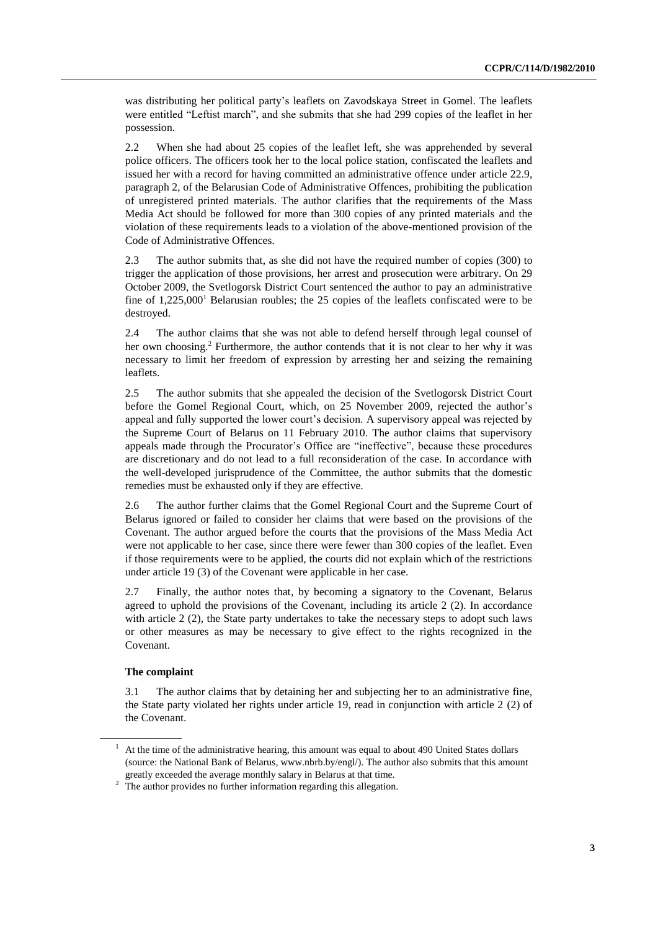was distributing her political party's leaflets on Zavodskaya Street in Gomel. The leaflets were entitled "Leftist march", and she submits that she had 299 copies of the leaflet in her possession.

2.2 When she had about 25 copies of the leaflet left, she was apprehended by several police officers. The officers took her to the local police station, confiscated the leaflets and issued her with a record for having committed an administrative offence under article 22.9, paragraph 2, of the Belarusian Code of Administrative Offences, prohibiting the publication of unregistered printed materials. The author clarifies that the requirements of the Mass Media Act should be followed for more than 300 copies of any printed materials and the violation of these requirements leads to a violation of the above-mentioned provision of the Code of Administrative Offences.

2.3 The author submits that, as she did not have the required number of copies (300) to trigger the application of those provisions, her arrest and prosecution were arbitrary. On 29 October 2009, the Svetlogorsk District Court sentenced the author to pay an administrative fine of  $1,225,000<sup>1</sup>$  Belarusian roubles; the 25 copies of the leaflets confiscated were to be destroyed.

2.4 The author claims that she was not able to defend herself through legal counsel of her own choosing. <sup>2</sup> Furthermore, the author contends that it is not clear to her why it was necessary to limit her freedom of expression by arresting her and seizing the remaining leaflets.

2.5 The author submits that she appealed the decision of the Svetlogorsk District Court before the Gomel Regional Court, which, on 25 November 2009, rejected the author's appeal and fully supported the lower court's decision. A supervisory appeal was rejected by the Supreme Court of Belarus on 11 February 2010. The author claims that supervisory appeals made through the Procurator's Office are "ineffective", because these procedures are discretionary and do not lead to a full reconsideration of the case. In accordance with the well-developed jurisprudence of the Committee, the author submits that the domestic remedies must be exhausted only if they are effective.

2.6 The author further claims that the Gomel Regional Court and the Supreme Court of Belarus ignored or failed to consider her claims that were based on the provisions of the Covenant. The author argued before the courts that the provisions of the Mass Media Act were not applicable to her case, since there were fewer than 300 copies of the leaflet. Even if those requirements were to be applied, the courts did not explain which of the restrictions under article 19 (3) of the Covenant were applicable in her case.

2.7 Finally, the author notes that, by becoming a signatory to the Covenant, Belarus agreed to uphold the provisions of the Covenant, including its article 2 (2). In accordance with article 2 (2), the State party undertakes to take the necessary steps to adopt such laws or other measures as may be necessary to give effect to the rights recognized in the Covenant.

#### **The complaint**

3.1 The author claims that by detaining her and subjecting her to an administrative fine, the State party violated her rights under article 19, read in conjunction with article 2 (2) of the Covenant.

 $1$  At the time of the administrative hearing, this amount was equal to about 490 United States dollars (source: the National Bank of Belarus, www.nbrb.by/engl/). The author also submits that this amount greatly exceeded the average monthly salary in Belarus at that time.

<sup>&</sup>lt;sup>2</sup> The author provides no further information regarding this allegation.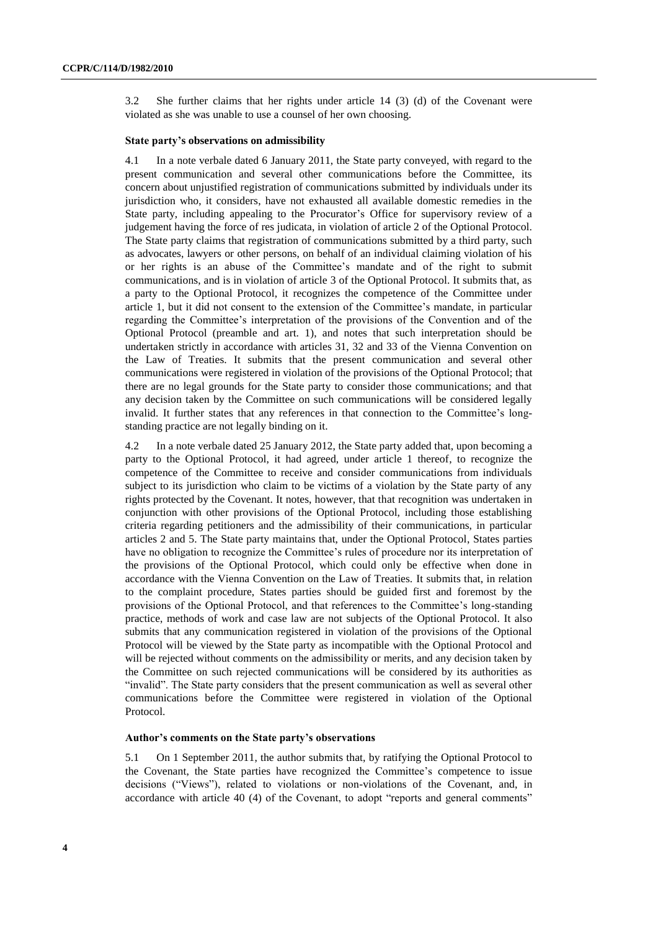3.2 She further claims that her rights under article 14 (3) (d) of the Covenant were violated as she was unable to use a counsel of her own choosing.

#### **State party's observations on admissibility**

4.1 In a note verbale dated 6 January 2011, the State party conveyed, with regard to the present communication and several other communications before the Committee, its concern about unjustified registration of communications submitted by individuals under its jurisdiction who, it considers, have not exhausted all available domestic remedies in the State party, including appealing to the Procurator's Office for supervisory review of a judgement having the force of res judicata, in violation of article 2 of the Optional Protocol. The State party claims that registration of communications submitted by a third party, such as advocates, lawyers or other persons, on behalf of an individual claiming violation of his or her rights is an abuse of the Committee's mandate and of the right to submit communications, and is in violation of article 3 of the Optional Protocol. It submits that, as a party to the Optional Protocol, it recognizes the competence of the Committee under article 1, but it did not consent to the extension of the Committee's mandate, in particular regarding the Committee's interpretation of the provisions of the Convention and of the Optional Protocol (preamble and art. 1), and notes that such interpretation should be undertaken strictly in accordance with articles 31, 32 and 33 of the Vienna Convention on the Law of Treaties. It submits that the present communication and several other communications were registered in violation of the provisions of the Optional Protocol; that there are no legal grounds for the State party to consider those communications; and that any decision taken by the Committee on such communications will be considered legally invalid. It further states that any references in that connection to the Committee's longstanding practice are not legally binding on it.

4.2 In a note verbale dated 25 January 2012, the State party added that, upon becoming a party to the Optional Protocol, it had agreed, under article 1 thereof, to recognize the competence of the Committee to receive and consider communications from individuals subject to its jurisdiction who claim to be victims of a violation by the State party of any rights protected by the Covenant. It notes, however, that that recognition was undertaken in conjunction with other provisions of the Optional Protocol, including those establishing criteria regarding petitioners and the admissibility of their communications, in particular articles 2 and 5. The State party maintains that, under the Optional Protocol, States parties have no obligation to recognize the Committee's rules of procedure nor its interpretation of the provisions of the Optional Protocol, which could only be effective when done in accordance with the Vienna Convention on the Law of Treaties. It submits that, in relation to the complaint procedure, States parties should be guided first and foremost by the provisions of the Optional Protocol, and that references to the Committee's long-standing practice, methods of work and case law are not subjects of the Optional Protocol. It also submits that any communication registered in violation of the provisions of the Optional Protocol will be viewed by the State party as incompatible with the Optional Protocol and will be rejected without comments on the admissibility or merits, and any decision taken by the Committee on such rejected communications will be considered by its authorities as "invalid". The State party considers that the present communication as well as several other communications before the Committee were registered in violation of the Optional Protocol.

#### **Author's comments on the State party's observations**

5.1 On 1 September 2011, the author submits that, by ratifying the Optional Protocol to the Covenant, the State parties have recognized the Committee's competence to issue decisions ("Views"), related to violations or non-violations of the Covenant, and, in accordance with article 40 (4) of the Covenant, to adopt "reports and general comments"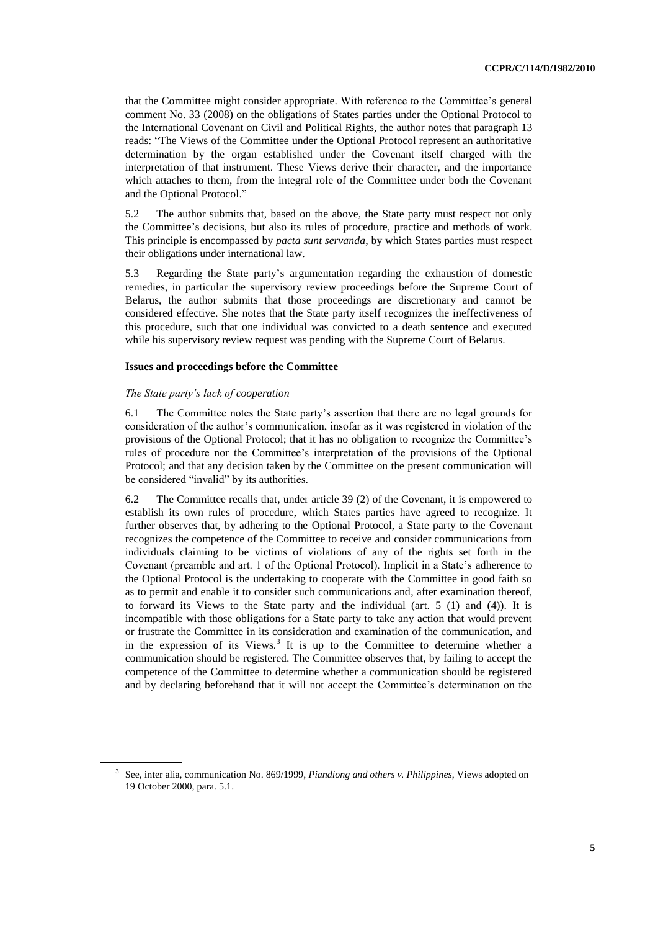that the Committee might consider appropriate. With reference to the Committee's general comment No. 33 (2008) on the obligations of States parties under the Optional Protocol to the International Covenant on Civil and Political Rights, the author notes that paragraph 13 reads: "The Views of the Committee under the Optional Protocol represent an authoritative determination by the organ established under the Covenant itself charged with the interpretation of that instrument. These Views derive their character, and the importance which attaches to them, from the integral role of the Committee under both the Covenant and the Optional Protocol."

5.2 The author submits that, based on the above, the State party must respect not only the Committee's decisions, but also its rules of procedure, practice and methods of work. This principle is encompassed by *pacta sunt servanda*, by which States parties must respect their obligations under international law.

5.3 Regarding the State party's argumentation regarding the exhaustion of domestic remedies, in particular the supervisory review proceedings before the Supreme Court of Belarus, the author submits that those proceedings are discretionary and cannot be considered effective. She notes that the State party itself recognizes the ineffectiveness of this procedure, such that one individual was convicted to a death sentence and executed while his supervisory review request was pending with the Supreme Court of Belarus.

#### **Issues and proceedings before the Committee**

#### *The State party's lack of cooperation*

6.1 The Committee notes the State party's assertion that there are no legal grounds for consideration of the author's communication, insofar as it was registered in violation of the provisions of the Optional Protocol; that it has no obligation to recognize the Committee's rules of procedure nor the Committee's interpretation of the provisions of the Optional Protocol; and that any decision taken by the Committee on the present communication will be considered "invalid" by its authorities.

6.2 The Committee recalls that, under article 39 (2) of the Covenant, it is empowered to establish its own rules of procedure, which States parties have agreed to recognize. It further observes that, by adhering to the Optional Protocol, a State party to the Covenant recognizes the competence of the Committee to receive and consider communications from individuals claiming to be victims of violations of any of the rights set forth in the Covenant (preamble and art. 1 of the Optional Protocol). Implicit in a State's adherence to the Optional Protocol is the undertaking to cooperate with the Committee in good faith so as to permit and enable it to consider such communications and, after examination thereof, to forward its Views to the State party and the individual (art. 5 (1) and (4)). It is incompatible with those obligations for a State party to take any action that would prevent or frustrate the Committee in its consideration and examination of the communication, and in the expression of its Views.<sup>3</sup> It is up to the Committee to determine whether a communication should be registered. The Committee observes that, by failing to accept the competence of the Committee to determine whether a communication should be registered and by declaring beforehand that it will not accept the Committee's determination on the

<sup>3</sup> See, inter alia, communication No. 869/1999, *Piandiong and others v. Philippines*, Views adopted on 19 October 2000, para. 5.1.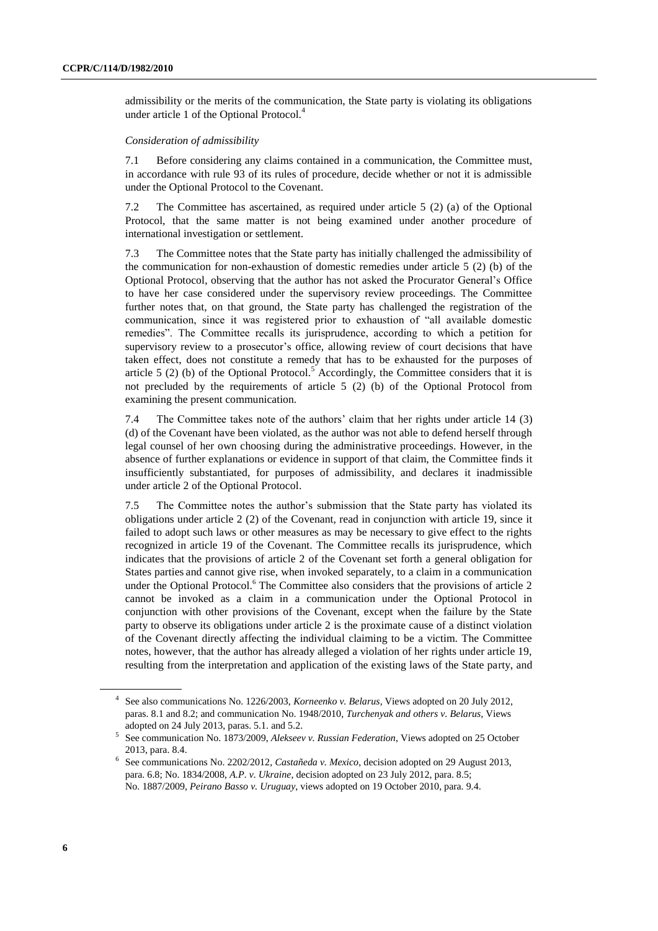admissibility or the merits of the communication, the State party is violating its obligations under article 1 of the Optional Protocol.<sup>4</sup>

#### *Consideration of admissibility*

7.1 Before considering any claims contained in a communication, the Committee must, in accordance with rule 93 of its rules of procedure, decide whether or not it is admissible under the Optional Protocol to the Covenant.

7.2 The Committee has ascertained, as required under article 5 (2) (a) of the Optional Protocol, that the same matter is not being examined under another procedure of international investigation or settlement.

7.3 The Committee notes that the State party has initially challenged the admissibility of the communication for non-exhaustion of domestic remedies under article 5 (2) (b) of the Optional Protocol, observing that the author has not asked the Procurator General's Office to have her case considered under the supervisory review proceedings. The Committee further notes that, on that ground, the State party has challenged the registration of the communication, since it was registered prior to exhaustion of "all available domestic remedies". The Committee recalls its jurisprudence, according to which a petition for supervisory review to a prosecutor's office, allowing review of court decisions that have taken effect, does not constitute a remedy that has to be exhausted for the purposes of article  $5$  (2) (b) of the Optional Protocol.<sup>5</sup> Accordingly, the Committee considers that it is not precluded by the requirements of article 5 (2) (b) of the Optional Protocol from examining the present communication.

7.4 The Committee takes note of the authors' claim that her rights under article 14 (3) (d) of the Covenant have been violated, as the author was not able to defend herself through legal counsel of her own choosing during the administrative proceedings. However, in the absence of further explanations or evidence in support of that claim, the Committee finds it insufficiently substantiated, for purposes of admissibility, and declares it inadmissible under article 2 of the Optional Protocol.

7.5 The Committee notes the author's submission that the State party has violated its obligations under article 2 (2) of the Covenant, read in conjunction with article 19, since it failed to adopt such laws or other measures as may be necessary to give effect to the rights recognized in article 19 of the Covenant. The Committee recalls its jurisprudence, which indicates that the provisions of article 2 of the Covenant set forth a general obligation for States parties and cannot give rise, when invoked separately, to a claim in a communication under the Optional Protocol.<sup>6</sup> The Committee also considers that the provisions of article 2 cannot be invoked as a claim in a communication under the Optional Protocol in conjunction with other provisions of the Covenant, except when the failure by the State party to observe its obligations under article 2 is the proximate cause of a distinct violation of the Covenant directly affecting the individual claiming to be a victim. The Committee notes, however, that the author has already alleged a violation of her rights under article 19, resulting from the interpretation and application of the existing laws of the State party, and

<sup>4</sup> See also communications No. 1226/2003, *Korneenko v. Belarus*, Views adopted on 20 July 2012, paras. 8.1 and 8.2; and communication No. 1948/2010, *Turchenyak and others v. Belarus*, Views adopted on 24 July 2013, paras. 5.1. and 5.2.

<sup>5</sup> See communication No. 1873/2009, *Alekseev v. Russian Federation*, Views adopted on 25 October 2013, para. 8.4.

<sup>6</sup> See communications No. 2202/2012, *Castañeda v. Mexico*, decision adopted on 29 August 2013, para. 6.8; No. 1834/2008, *A.P. v. Ukraine*, decision adopted on 23 July 2012, para. 8.5; No. 1887/2009, *Peirano Basso v. Uruguay*, views adopted on 19 October 2010, para. 9.4.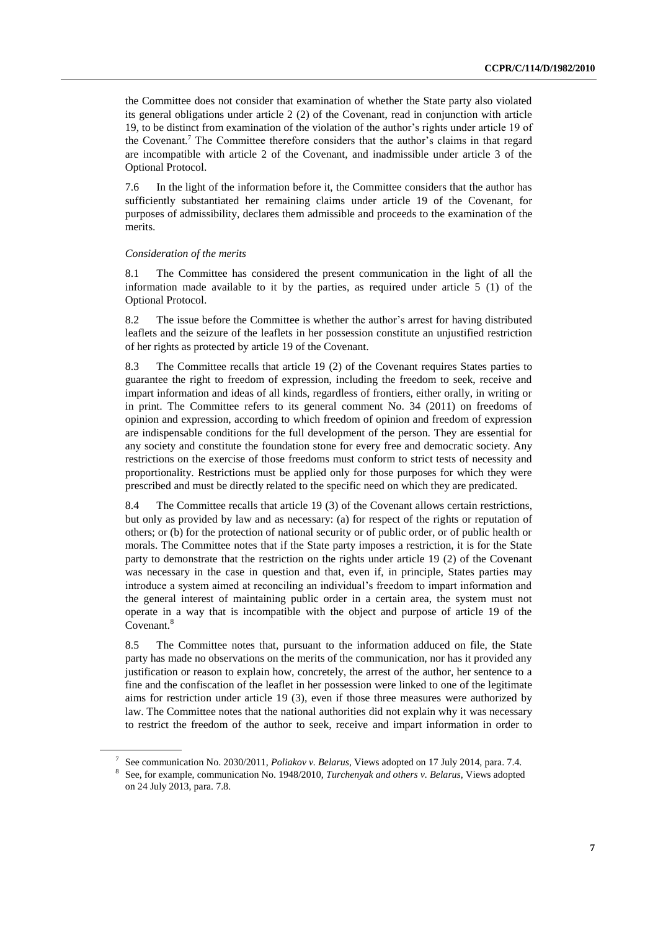the Committee does not consider that examination of whether the State party also violated its general obligations under article 2 (2) of the Covenant, read in conjunction with article 19, to be distinct from examination of the violation of the author's rights under article 19 of the Covenant. <sup>7</sup> The Committee therefore considers that the author's claims in that regard are incompatible with article 2 of the Covenant, and inadmissible under article 3 of the Optional Protocol.

7.6 In the light of the information before it, the Committee considers that the author has sufficiently substantiated her remaining claims under article 19 of the Covenant, for purposes of admissibility, declares them admissible and proceeds to the examination of the merits.

#### *Consideration of the merits*

8.1 The Committee has considered the present communication in the light of all the information made available to it by the parties, as required under article 5 (1) of the Optional Protocol.

8.2 The issue before the Committee is whether the author's arrest for having distributed leaflets and the seizure of the leaflets in her possession constitute an unjustified restriction of her rights as protected by article 19 of the Covenant.

8.3 The Committee recalls that article 19 (2) of the Covenant requires States parties to guarantee the right to freedom of expression, including the freedom to seek, receive and impart information and ideas of all kinds, regardless of frontiers, either orally, in writing or in print. The Committee refers to its general comment No. 34 (2011) on freedoms of opinion and expression, according to which freedom of opinion and freedom of expression are indispensable conditions for the full development of the person. They are essential for any society and constitute the foundation stone for every free and democratic society. Any restrictions on the exercise of those freedoms must conform to strict tests of necessity and proportionality. Restrictions must be applied only for those purposes for which they were prescribed and must be directly related to the specific need on which they are predicated.

8.4 The Committee recalls that article 19 (3) of the Covenant allows certain restrictions, but only as provided by law and as necessary: (a) for respect of the rights or reputation of others; or (b) for the protection of national security or of public order, or of public health or morals. The Committee notes that if the State party imposes a restriction, it is for the State party to demonstrate that the restriction on the rights under article 19 (2) of the Covenant was necessary in the case in question and that, even if, in principle, States parties may introduce a system aimed at reconciling an individual's freedom to impart information and the general interest of maintaining public order in a certain area, the system must not operate in a way that is incompatible with the object and purpose of article 19 of the Covenant.<sup>8</sup>

8.5 The Committee notes that, pursuant to the information adduced on file, the State party has made no observations on the merits of the communication, nor has it provided any justification or reason to explain how, concretely, the arrest of the author, her sentence to a fine and the confiscation of the leaflet in her possession were linked to one of the legitimate aims for restriction under article 19 (3), even if those three measures were authorized by law. The Committee notes that the national authorities did not explain why it was necessary to restrict the freedom of the author to seek, receive and impart information in order to

<sup>7</sup> See communication No. 2030/2011, *Poliakov v. Belarus*, Views adopted on 17 July 2014, para. 7.4.

<sup>8</sup> See, for example, communication No. 1948/2010, *Turchenyak and others v. Belarus*, Views adopted on 24 July 2013, para. 7.8.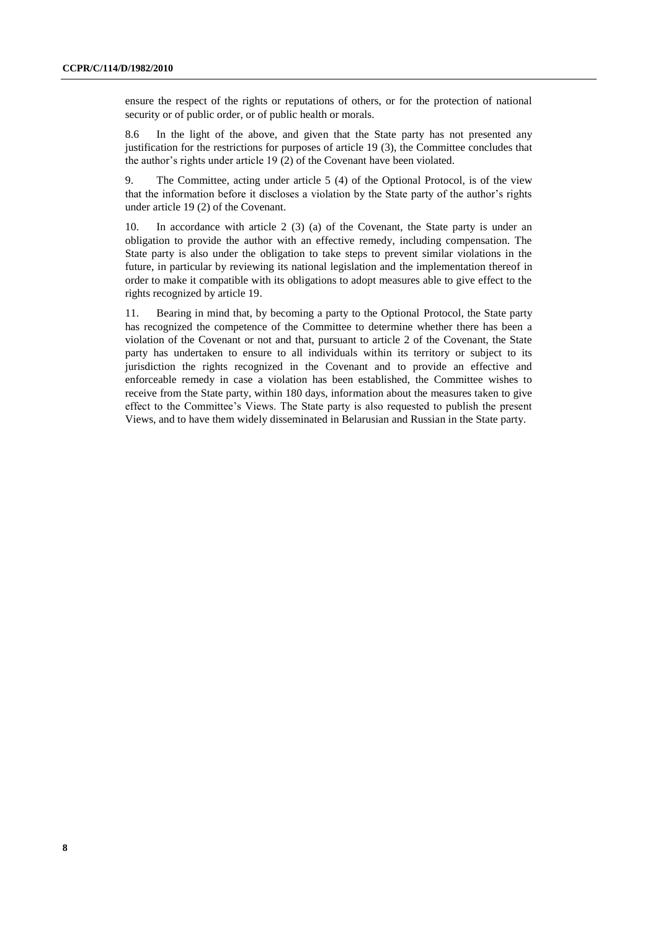ensure the respect of the rights or reputations of others, or for the protection of national security or of public order, or of public health or morals.

8.6 In the light of the above, and given that the State party has not presented any justification for the restrictions for purposes of article 19 (3), the Committee concludes that the author's rights under article 19 (2) of the Covenant have been violated.

9. The Committee, acting under article 5 (4) of the Optional Protocol, is of the view that the information before it discloses a violation by the State party of the author's rights under article 19 (2) of the Covenant.

10. In accordance with article 2 (3) (a) of the Covenant, the State party is under an obligation to provide the author with an effective remedy, including compensation. The State party is also under the obligation to take steps to prevent similar violations in the future, in particular by reviewing its national legislation and the implementation thereof in order to make it compatible with its obligations to adopt measures able to give effect to the rights recognized by article 19.

11. Bearing in mind that, by becoming a party to the Optional Protocol, the State party has recognized the competence of the Committee to determine whether there has been a violation of the Covenant or not and that, pursuant to article 2 of the Covenant, the State party has undertaken to ensure to all individuals within its territory or subject to its jurisdiction the rights recognized in the Covenant and to provide an effective and enforceable remedy in case a violation has been established, the Committee wishes to receive from the State party, within 180 days, information about the measures taken to give effect to the Committee's Views. The State party is also requested to publish the present Views, and to have them widely disseminated in Belarusian and Russian in the State party.